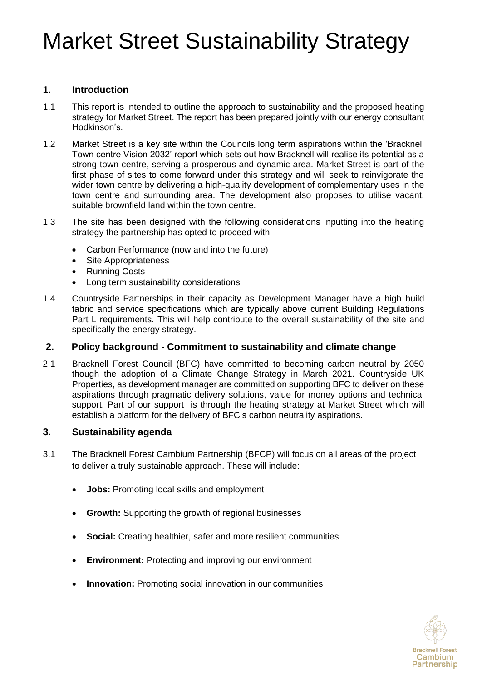### **1. Introduction**

- 1.1 This report is intended to outline the approach to sustainability and the proposed heating strategy for Market Street. The report has been prepared jointly with our energy consultant Hodkinson's.
- 1.2 Market Street is a key site within the Councils long term aspirations within the 'Bracknell Town centre Vision 2032' report which sets out how Bracknell will realise its potential as a strong town centre, serving a prosperous and dynamic area. Market Street is part of the first phase of sites to come forward under this strategy and will seek to reinvigorate the wider town centre by delivering a high-quality development of complementary uses in the town centre and surrounding area. The development also proposes to utilise vacant, suitable brownfield land within the town centre.
- 1.3 The site has been designed with the following considerations inputting into the heating strategy the partnership has opted to proceed with:
	- Carbon Performance (now and into the future)
	- Site Appropriateness
	- Running Costs
	- Long term sustainability considerations
- 1.4 Countryside Partnerships in their capacity as Development Manager have a high build fabric and service specifications which are typically above current Building Regulations Part L requirements. This will help contribute to the overall sustainability of the site and specifically the energy strategy.

#### **2. Policy background - Commitment to sustainability and climate change**

2.1 Bracknell Forest Council (BFC) have committed to becoming carbon neutral by 2050 though the adoption of a Climate Change Strategy in March 2021. Countryside UK Properties, as development manager are committed on supporting BFC to deliver on these aspirations through pragmatic delivery solutions, value for money options and technical support. Part of our support is through the heating strategy at Market Street which will establish a platform for the delivery of BFC's carbon neutrality aspirations.

#### **3. Sustainability agenda**

- 3.1 The Bracknell Forest Cambium Partnership (BFCP) will focus on all areas of the project to deliver a truly sustainable approach. These will include:
	- **Jobs:** Promoting local skills and employment
	- **Growth:** Supporting the growth of regional businesses
	- **Social:** Creating healthier, safer and more resilient communities
	- **Environment:** Protecting and improving our environment
	- **Innovation:** Promoting social innovation in our communities

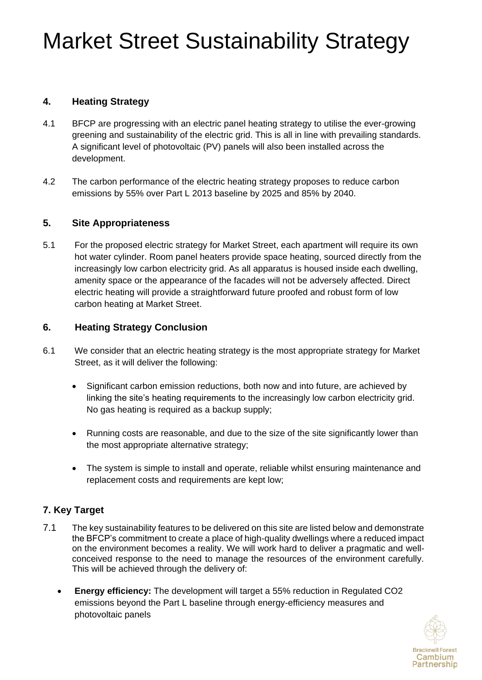### **4. Heating Strategy**

- 4.1 BFCP are progressing with an electric panel heating strategy to utilise the ever-growing greening and sustainability of the electric grid. This is all in line with prevailing standards. A significant level of photovoltaic (PV) panels will also been installed across the development.
- 4.2 The carbon performance of the electric heating strategy proposes to reduce carbon emissions by 55% over Part L 2013 baseline by 2025 and 85% by 2040.

#### **5. Site Appropriateness**

5.1 For the proposed electric strategy for Market Street, each apartment will require its own hot water cylinder. Room panel heaters provide space heating, sourced directly from the increasingly low carbon electricity grid. As all apparatus is housed inside each dwelling, amenity space or the appearance of the facades will not be adversely affected. Direct electric heating will provide a straightforward future proofed and robust form of low carbon heating at Market Street.

#### **6. Heating Strategy Conclusion**

- 6.1 We consider that an electric heating strategy is the most appropriate strategy for Market Street, as it will deliver the following:
	- Significant carbon emission reductions, both now and into future, are achieved by linking the site's heating requirements to the increasingly low carbon electricity grid. No gas heating is required as a backup supply;
	- Running costs are reasonable, and due to the size of the site significantly lower than the most appropriate alternative strategy;
	- The system is simple to install and operate, reliable whilst ensuring maintenance and replacement costs and requirements are kept low;

### **7. Key Target**

- 7.1 The key sustainability features to be delivered on this site are listed below and demonstrate the BFCP's commitment to create a place of high-quality dwellings where a reduced impact on the environment becomes a reality. We will work hard to deliver a pragmatic and wellconceived response to the need to manage the resources of the environment carefully. This will be achieved through the delivery of:
	- **Energy efficiency:** The development will target a 55% reduction in Regulated CO2 emissions beyond the Part L baseline through energy-efficiency measures and photovoltaic panels

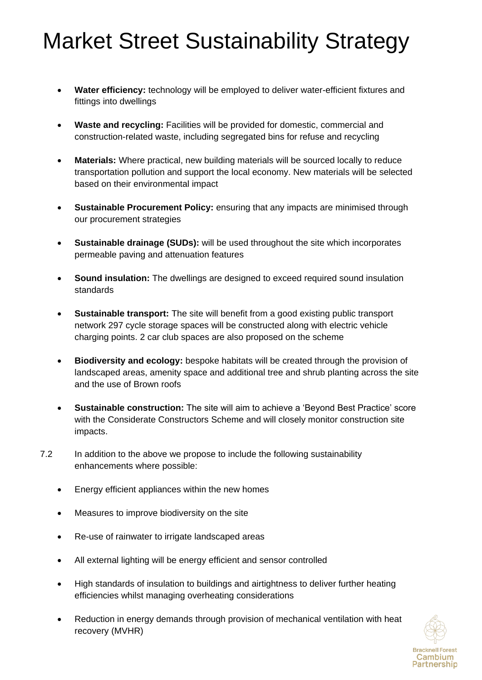- **Water efficiency:** technology will be employed to deliver water-efficient fixtures and fittings into dwellings
- **Waste and recycling:** Facilities will be provided for domestic, commercial and construction-related waste, including segregated bins for refuse and recycling
- **Materials:** Where practical, new building materials will be sourced locally to reduce transportation pollution and support the local economy. New materials will be selected based on their environmental impact
- **Sustainable Procurement Policy:** ensuring that any impacts are minimised through our procurement strategies
- **Sustainable drainage (SUDs):** will be used throughout the site which incorporates permeable paving and attenuation features
- **Sound insulation:** The dwellings are designed to exceed required sound insulation standards
- **Sustainable transport:** The site will benefit from a good existing public transport network 297 cycle storage spaces will be constructed along with electric vehicle charging points. 2 car club spaces are also proposed on the scheme
- **Biodiversity and ecology:** bespoke habitats will be created through the provision of landscaped areas, amenity space and additional tree and shrub planting across the site and the use of Brown roofs
- **Sustainable construction:** The site will aim to achieve a 'Beyond Best Practice' score with the Considerate Constructors Scheme and will closely monitor construction site impacts.
- 7.2 In addition to the above we propose to include the following sustainability enhancements where possible:
	- Energy efficient appliances within the new homes
	- Measures to improve biodiversity on the site
	- Re-use of rainwater to irrigate landscaped areas
	- All external lighting will be energy efficient and sensor controlled
	- High standards of insulation to buildings and airtightness to deliver further heating efficiencies whilst managing overheating considerations
	- Reduction in energy demands through provision of mechanical ventilation with heat recovery (MVHR)